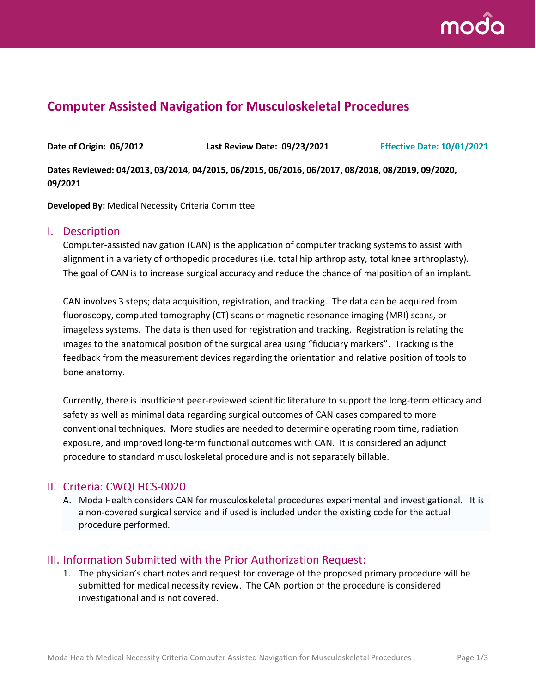

# **Computer Assisted Navigation for Musculoskeletal Procedures**

**Date of Origin: 06/2012 Last Review Date: 09/23/2021 Effective Date: 10/01/2021**

**Dates Reviewed: 04/2013, 03/2014, 04/2015, 06/2015, 06/2016, 06/2017, 08/2018, 08/2019, 09/2020, 09/2021**

**Developed By:** Medical Necessity Criteria Committee

#### I. Description

Computer-assisted navigation (CAN) is the application of computer tracking systems to assist with alignment in a variety of orthopedic procedures (i.e. total hip arthroplasty, total knee arthroplasty). The goal of CAN is to increase surgical accuracy and reduce the chance of malposition of an implant.

CAN involves 3 steps; data acquisition, registration, and tracking. The data can be acquired from fluoroscopy, computed tomography (CT) scans or magnetic resonance imaging (MRI) scans, or imageless systems. The data is then used for registration and tracking. Registration is relating the images to the anatomical position of the surgical area using "fiduciary markers". Tracking is the feedback from the measurement devices regarding the orientation and relative position of tools to bone anatomy.

Currently, there is insufficient peer-reviewed scientific literature to support the long-term efficacy and safety as well as minimal data regarding surgical outcomes of CAN cases compared to more conventional techniques. More studies are needed to determine operating room time, radiation exposure, and improved long-term functional outcomes with CAN. It is considered an adjunct procedure to standard musculoskeletal procedure and is not separately billable.

### II. Criteria: CWQI HCS-0020

A. Moda Health considers CAN for musculoskeletal procedures experimental and investigational. It is a non-covered surgical service and if used is included under the existing code for the actual procedure performed.

### III. Information Submitted with the Prior Authorization Request:

1. The physician's chart notes and request for coverage of the proposed primary procedure will be submitted for medical necessity review. The CAN portion of the procedure is considered investigational and is not covered.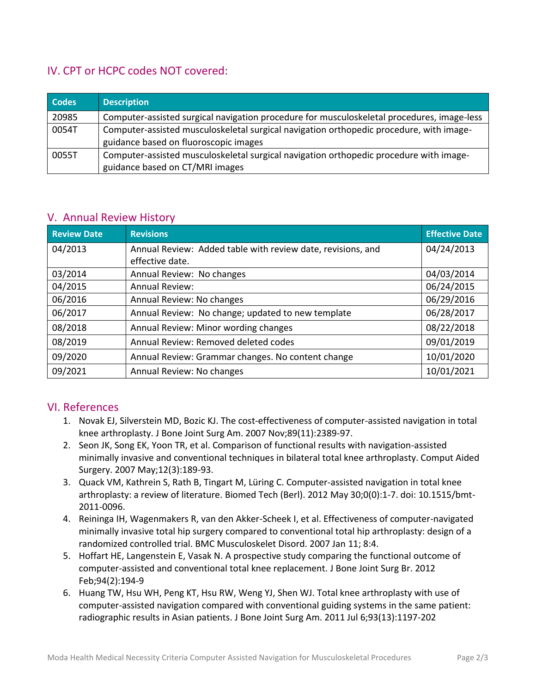## IV. CPT or HCPC codes NOT covered:

| <b>Codes</b> | <b>Description</b>                                                                                                               |
|--------------|----------------------------------------------------------------------------------------------------------------------------------|
| 20985        | Computer-assisted surgical navigation procedure for musculoskeletal procedures, image-less                                       |
| 0054T        | Computer-assisted musculoskeletal surgical navigation orthopedic procedure, with image-<br>guidance based on fluoroscopic images |
| 0055T        | Computer-assisted musculoskeletal surgical navigation orthopedic procedure with image-<br>guidance based on CT/MRI images        |

## V. Annual Review History

| <b>Review Date</b> | <b>Revisions</b>                                            | <b>Effective Date</b> |
|--------------------|-------------------------------------------------------------|-----------------------|
| 04/2013            | Annual Review: Added table with review date, revisions, and | 04/24/2013            |
|                    | effective date.                                             |                       |
| 03/2014            | Annual Review: No changes                                   | 04/03/2014            |
| 04/2015            | <b>Annual Review:</b>                                       | 06/24/2015            |
| 06/2016            | Annual Review: No changes                                   | 06/29/2016            |
| 06/2017            | Annual Review: No change; updated to new template           | 06/28/2017            |
| 08/2018            | Annual Review: Minor wording changes                        | 08/22/2018            |
| 08/2019            | Annual Review: Removed deleted codes                        | 09/01/2019            |
| 09/2020            | Annual Review: Grammar changes. No content change           | 10/01/2020            |
| 09/2021            | Annual Review: No changes                                   | 10/01/2021            |

### VI. References

- 1. [Novak EJ,](http://www.ncbi.nlm.nih.gov/pubmed?term=Novak%20EJ%5BAuthor%5D&cauthor=true&cauthor_uid=17974880) [Silverstein MD,](http://www.ncbi.nlm.nih.gov/pubmed?term=Silverstein%20MD%5BAuthor%5D&cauthor=true&cauthor_uid=17974880) [Bozic KJ.](http://www.ncbi.nlm.nih.gov/pubmed?term=Bozic%20KJ%5BAuthor%5D&cauthor=true&cauthor_uid=17974880) The cost-effectiveness of computer-assisted navigation in total knee arthroplasty. [J Bone Joint Surg Am.](http://www.ncbi.nlm.nih.gov/pubmed/17974880) 2007 Nov;89(11):2389-97.
- 2. Seon JK, Song EK, Yoon TR, et al. Comparison of functional results with navigation-assisted minimally invasive and conventional techniques in bilateral total knee arthroplasty. Comput Aided Surgery. 2007 May;12(3):189-93.
- 3. [Quack VM,](http://www.ncbi.nlm.nih.gov/pubmed?term=Quack%20VM%5BAuthor%5D&cauthor=true&cauthor_uid=22718583) [Kathrein S,](http://www.ncbi.nlm.nih.gov/pubmed?term=Kathrein%20S%5BAuthor%5D&cauthor=true&cauthor_uid=22718583) [Rath B,](http://www.ncbi.nlm.nih.gov/pubmed?term=Rath%20B%5BAuthor%5D&cauthor=true&cauthor_uid=22718583) [Tingart M,](http://www.ncbi.nlm.nih.gov/pubmed?term=Tingart%20M%5BAuthor%5D&cauthor=true&cauthor_uid=22718583) [Lüring C.](http://www.ncbi.nlm.nih.gov/pubmed?term=L%C3%BCring%20C%5BAuthor%5D&cauthor=true&cauthor_uid=22718583) Computer-assisted navigation in total knee arthroplasty: a review of literature. [Biomed Tech \(Berl\).](http://www.ncbi.nlm.nih.gov/pubmed?term=Quack%20VM%5BAuthor%5D&cauthor=true&cauthor_uid=22718583) 2012 May 30;0(0):1-7. doi: 10.1515/bmt-2011-0096.
- 4. Reininga IH, Wagenmakers R, van den Akker-Scheek I, et al. Effectiveness of computer-navigated minimally invasive total hip surgery compared to conventional total hip arthroplasty: design of a randomized controlled trial. BMC Musculoskelet Disord. 2007 Jan 11; 8:4.
- 5. [Hoffart HE,](http://www.ncbi.nlm.nih.gov/pubmed?term=Hoffart%20HE%5BAuthor%5D&cauthor=true&cauthor_uid=22323685) [Langenstein E,](http://www.ncbi.nlm.nih.gov/pubmed?term=Langenstein%20E%5BAuthor%5D&cauthor=true&cauthor_uid=22323685) [Vasak N.](http://www.ncbi.nlm.nih.gov/pubmed?term=Vasak%20N%5BAuthor%5D&cauthor=true&cauthor_uid=22323685) A prospective study comparing the functional outcome of computer-assisted and conventional total knee replacement. [J Bone Joint Surg Br.](http://www.ncbi.nlm.nih.gov/pubmed/22323685) 2012 Feb;94(2):194-9
- 6. [Huang TW,](http://www.ncbi.nlm.nih.gov/pubmed?term=Huang%20TW%5BAuthor%5D&cauthor=true&cauthor_uid=21776572) [Hsu WH,](http://www.ncbi.nlm.nih.gov/pubmed?term=Hsu%20WH%5BAuthor%5D&cauthor=true&cauthor_uid=21776572) [Peng KT,](http://www.ncbi.nlm.nih.gov/pubmed?term=Peng%20KT%5BAuthor%5D&cauthor=true&cauthor_uid=21776572) [Hsu RW,](http://www.ncbi.nlm.nih.gov/pubmed?term=Hsu%20RW%5BAuthor%5D&cauthor=true&cauthor_uid=21776572) [Weng YJ,](http://www.ncbi.nlm.nih.gov/pubmed?term=Weng%20YJ%5BAuthor%5D&cauthor=true&cauthor_uid=21776572) [Shen WJ.](http://www.ncbi.nlm.nih.gov/pubmed?term=Shen%20WJ%5BAuthor%5D&cauthor=true&cauthor_uid=21776572) Total knee arthroplasty with use of computer-assisted navigation compared with conventional guiding systems in the same patient: radiographic results in Asian patients. [J Bone Joint Surg Am.](http://www.ncbi.nlm.nih.gov/pubmed/21776572) 2011 Jul 6;93(13):1197-202